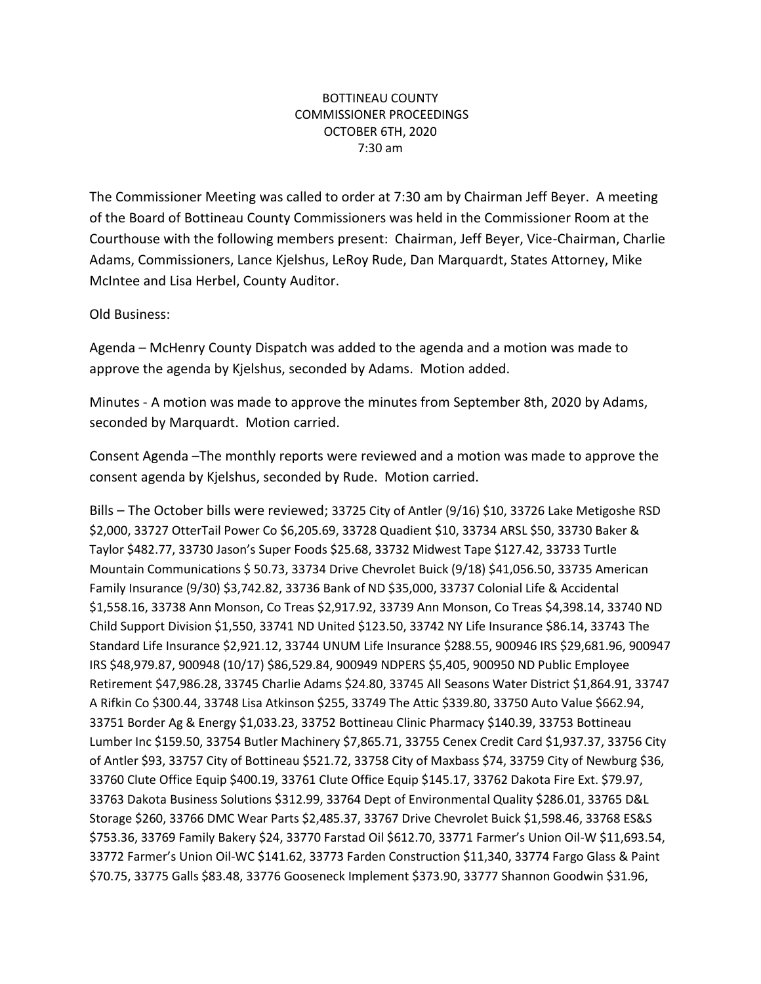## BOTTINEAU COUNTY COMMISSIONER PROCEEDINGS OCTOBER 6TH, 2020 7:30 am

The Commissioner Meeting was called to order at 7:30 am by Chairman Jeff Beyer. A meeting of the Board of Bottineau County Commissioners was held in the Commissioner Room at the Courthouse with the following members present: Chairman, Jeff Beyer, Vice-Chairman, Charlie Adams, Commissioners, Lance Kjelshus, LeRoy Rude, Dan Marquardt, States Attorney, Mike McIntee and Lisa Herbel, County Auditor.

Old Business:

Agenda – McHenry County Dispatch was added to the agenda and a motion was made to approve the agenda by Kjelshus, seconded by Adams. Motion added.

Minutes - A motion was made to approve the minutes from September 8th, 2020 by Adams, seconded by Marquardt. Motion carried.

Consent Agenda –The monthly reports were reviewed and a motion was made to approve the consent agenda by Kjelshus, seconded by Rude. Motion carried.

Bills – The October bills were reviewed; 33725 City of Antler (9/16) \$10, 33726 Lake Metigoshe RSD \$2,000, 33727 OtterTail Power Co \$6,205.69, 33728 Quadient \$10, 33734 ARSL \$50, 33730 Baker & Taylor \$482.77, 33730 Jason's Super Foods \$25.68, 33732 Midwest Tape \$127.42, 33733 Turtle Mountain Communications \$ 50.73, 33734 Drive Chevrolet Buick (9/18) \$41,056.50, 33735 American Family Insurance (9/30) \$3,742.82, 33736 Bank of ND \$35,000, 33737 Colonial Life & Accidental \$1,558.16, 33738 Ann Monson, Co Treas \$2,917.92, 33739 Ann Monson, Co Treas \$4,398.14, 33740 ND Child Support Division \$1,550, 33741 ND United \$123.50, 33742 NY Life Insurance \$86.14, 33743 The Standard Life Insurance \$2,921.12, 33744 UNUM Life Insurance \$288.55, 900946 IRS \$29,681.96, 900947 IRS \$48,979.87, 900948 (10/17) \$86,529.84, 900949 NDPERS \$5,405, 900950 ND Public Employee Retirement \$47,986.28, 33745 Charlie Adams \$24.80, 33745 All Seasons Water District \$1,864.91, 33747 A Rifkin Co \$300.44, 33748 Lisa Atkinson \$255, 33749 The Attic \$339.80, 33750 Auto Value \$662.94, 33751 Border Ag & Energy \$1,033.23, 33752 Bottineau Clinic Pharmacy \$140.39, 33753 Bottineau Lumber Inc \$159.50, 33754 Butler Machinery \$7,865.71, 33755 Cenex Credit Card \$1,937.37, 33756 City of Antler \$93, 33757 City of Bottineau \$521.72, 33758 City of Maxbass \$74, 33759 City of Newburg \$36, 33760 Clute Office Equip \$400.19, 33761 Clute Office Equip \$145.17, 33762 Dakota Fire Ext. \$79.97, 33763 Dakota Business Solutions \$312.99, 33764 Dept of Environmental Quality \$286.01, 33765 D&L Storage \$260, 33766 DMC Wear Parts \$2,485.37, 33767 Drive Chevrolet Buick \$1,598.46, 33768 ES&S \$753.36, 33769 Family Bakery \$24, 33770 Farstad Oil \$612.70, 33771 Farmer's Union Oil-W \$11,693.54, 33772 Farmer's Union Oil-WC \$141.62, 33773 Farden Construction \$11,340, 33774 Fargo Glass & Paint \$70.75, 33775 Galls \$83.48, 33776 Gooseneck Implement \$373.90, 33777 Shannon Goodwin \$31.96,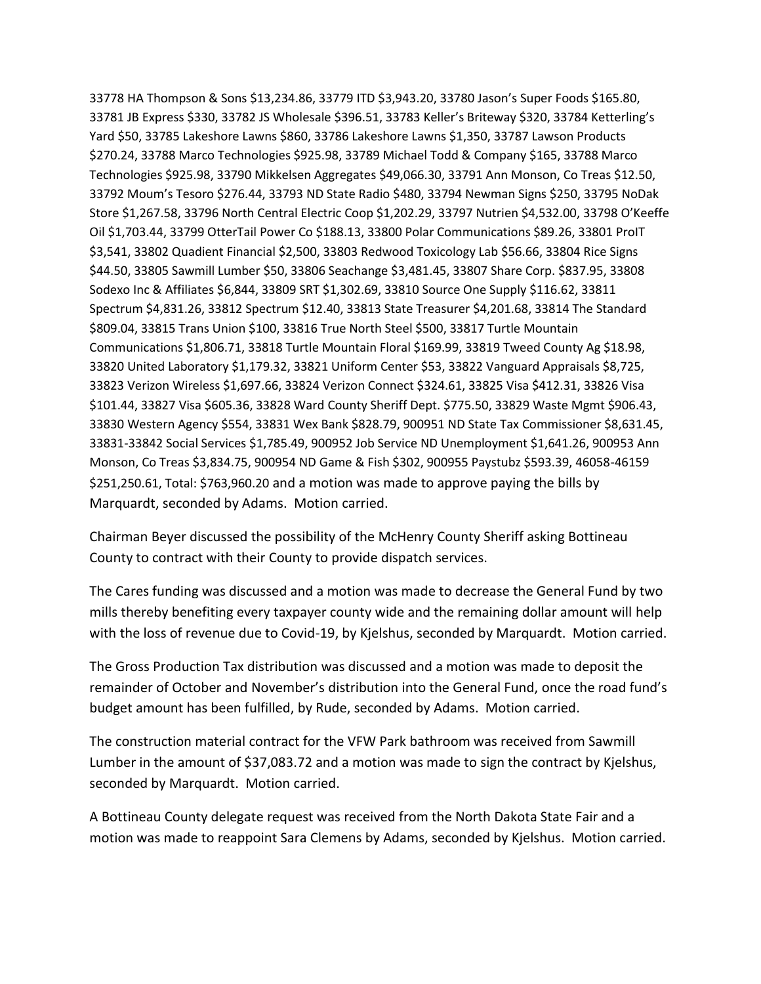33778 HA Thompson & Sons \$13,234.86, 33779 ITD \$3,943.20, 33780 Jason's Super Foods \$165.80, 33781 JB Express \$330, 33782 JS Wholesale \$396.51, 33783 Keller's Briteway \$320, 33784 Ketterling's Yard \$50, 33785 Lakeshore Lawns \$860, 33786 Lakeshore Lawns \$1,350, 33787 Lawson Products \$270.24, 33788 Marco Technologies \$925.98, 33789 Michael Todd & Company \$165, 33788 Marco Technologies \$925.98, 33790 Mikkelsen Aggregates \$49,066.30, 33791 Ann Monson, Co Treas \$12.50, 33792 Moum's Tesoro \$276.44, 33793 ND State Radio \$480, 33794 Newman Signs \$250, 33795 NoDak Store \$1,267.58, 33796 North Central Electric Coop \$1,202.29, 33797 Nutrien \$4,532.00, 33798 O'Keeffe Oil \$1,703.44, 33799 OtterTail Power Co \$188.13, 33800 Polar Communications \$89.26, 33801 ProIT \$3,541, 33802 Quadient Financial \$2,500, 33803 Redwood Toxicology Lab \$56.66, 33804 Rice Signs \$44.50, 33805 Sawmill Lumber \$50, 33806 Seachange \$3,481.45, 33807 Share Corp. \$837.95, 33808 Sodexo Inc & Affiliates \$6,844, 33809 SRT \$1,302.69, 33810 Source One Supply \$116.62, 33811 Spectrum \$4,831.26, 33812 Spectrum \$12.40, 33813 State Treasurer \$4,201.68, 33814 The Standard \$809.04, 33815 Trans Union \$100, 33816 True North Steel \$500, 33817 Turtle Mountain Communications \$1,806.71, 33818 Turtle Mountain Floral \$169.99, 33819 Tweed County Ag \$18.98, 33820 United Laboratory \$1,179.32, 33821 Uniform Center \$53, 33822 Vanguard Appraisals \$8,725, 33823 Verizon Wireless \$1,697.66, 33824 Verizon Connect \$324.61, 33825 Visa \$412.31, 33826 Visa \$101.44, 33827 Visa \$605.36, 33828 Ward County Sheriff Dept. \$775.50, 33829 Waste Mgmt \$906.43, 33830 Western Agency \$554, 33831 Wex Bank \$828.79, 900951 ND State Tax Commissioner \$8,631.45, 33831-33842 Social Services \$1,785.49, 900952 Job Service ND Unemployment \$1,641.26, 900953 Ann Monson, Co Treas \$3,834.75, 900954 ND Game & Fish \$302, 900955 Paystubz \$593.39, 46058-46159 \$251,250.61, Total: \$763,960.20 and a motion was made to approve paying the bills by Marquardt, seconded by Adams. Motion carried.

Chairman Beyer discussed the possibility of the McHenry County Sheriff asking Bottineau County to contract with their County to provide dispatch services.

The Cares funding was discussed and a motion was made to decrease the General Fund by two mills thereby benefiting every taxpayer county wide and the remaining dollar amount will help with the loss of revenue due to Covid-19, by Kjelshus, seconded by Marquardt. Motion carried.

The Gross Production Tax distribution was discussed and a motion was made to deposit the remainder of October and November's distribution into the General Fund, once the road fund's budget amount has been fulfilled, by Rude, seconded by Adams. Motion carried.

The construction material contract for the VFW Park bathroom was received from Sawmill Lumber in the amount of \$37,083.72 and a motion was made to sign the contract by Kjelshus, seconded by Marquardt. Motion carried.

A Bottineau County delegate request was received from the North Dakota State Fair and a motion was made to reappoint Sara Clemens by Adams, seconded by Kjelshus. Motion carried.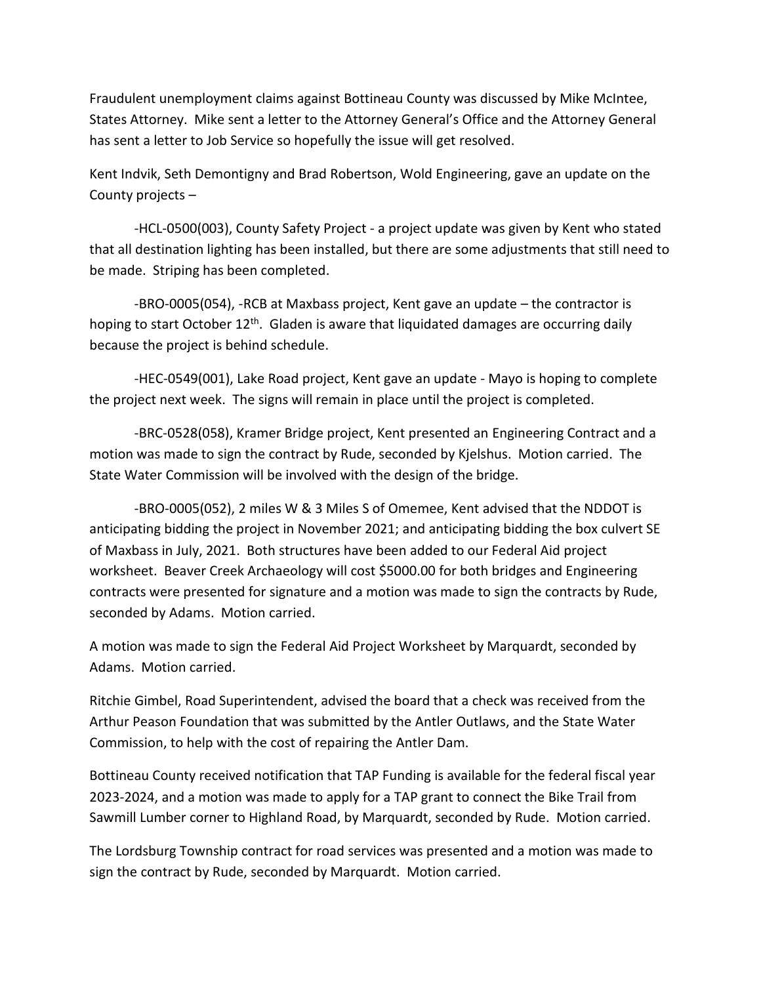Fraudulent unemployment claims against Bottineau County was discussed by Mike McIntee, States Attorney. Mike sent a letter to the Attorney General's Office and the Attorney General has sent a letter to Job Service so hopefully the issue will get resolved.

Kent Indvik, Seth Demontigny and Brad Robertson, Wold Engineering, gave an update on the County projects –

-HCL-0500(003), County Safety Project - a project update was given by Kent who stated that all destination lighting has been installed, but there are some adjustments that still need to be made. Striping has been completed.

-BRO-0005(054), -RCB at Maxbass project, Kent gave an update – the contractor is hoping to start October  $12<sup>th</sup>$ . Gladen is aware that liquidated damages are occurring daily because the project is behind schedule.

-HEC-0549(001), Lake Road project, Kent gave an update - Mayo is hoping to complete the project next week. The signs will remain in place until the project is completed.

-BRC-0528(058), Kramer Bridge project, Kent presented an Engineering Contract and a motion was made to sign the contract by Rude, seconded by Kjelshus. Motion carried. The State Water Commission will be involved with the design of the bridge.

-BRO-0005(052), 2 miles W & 3 Miles S of Omemee, Kent advised that the NDDOT is anticipating bidding the project in November 2021; and anticipating bidding the box culvert SE of Maxbass in July, 2021. Both structures have been added to our Federal Aid project worksheet. Beaver Creek Archaeology will cost \$5000.00 for both bridges and Engineering contracts were presented for signature and a motion was made to sign the contracts by Rude, seconded by Adams. Motion carried.

A motion was made to sign the Federal Aid Project Worksheet by Marquardt, seconded by Adams. Motion carried.

Ritchie Gimbel, Road Superintendent, advised the board that a check was received from the Arthur Peason Foundation that was submitted by the Antler Outlaws, and the State Water Commission, to help with the cost of repairing the Antler Dam.

Bottineau County received notification that TAP Funding is available for the federal fiscal year 2023-2024, and a motion was made to apply for a TAP grant to connect the Bike Trail from Sawmill Lumber corner to Highland Road, by Marquardt, seconded by Rude. Motion carried.

The Lordsburg Township contract for road services was presented and a motion was made to sign the contract by Rude, seconded by Marquardt. Motion carried.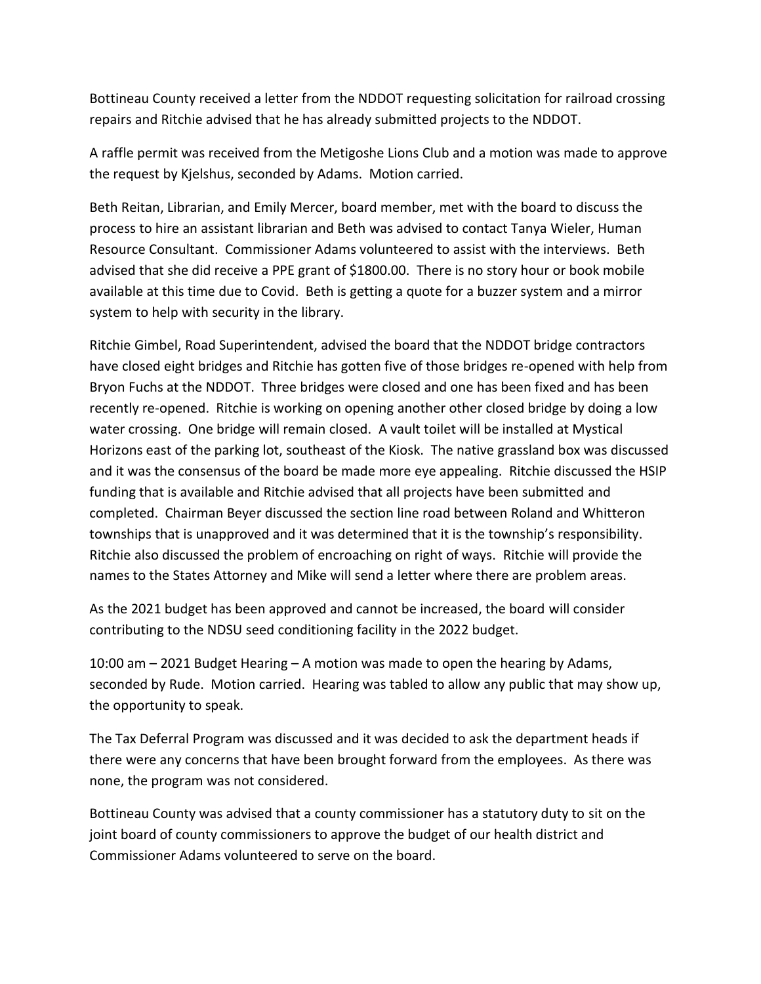Bottineau County received a letter from the NDDOT requesting solicitation for railroad crossing repairs and Ritchie advised that he has already submitted projects to the NDDOT.

A raffle permit was received from the Metigoshe Lions Club and a motion was made to approve the request by Kjelshus, seconded by Adams. Motion carried.

Beth Reitan, Librarian, and Emily Mercer, board member, met with the board to discuss the process to hire an assistant librarian and Beth was advised to contact Tanya Wieler, Human Resource Consultant. Commissioner Adams volunteered to assist with the interviews. Beth advised that she did receive a PPE grant of \$1800.00. There is no story hour or book mobile available at this time due to Covid. Beth is getting a quote for a buzzer system and a mirror system to help with security in the library.

Ritchie Gimbel, Road Superintendent, advised the board that the NDDOT bridge contractors have closed eight bridges and Ritchie has gotten five of those bridges re-opened with help from Bryon Fuchs at the NDDOT. Three bridges were closed and one has been fixed and has been recently re-opened. Ritchie is working on opening another other closed bridge by doing a low water crossing. One bridge will remain closed. A vault toilet will be installed at Mystical Horizons east of the parking lot, southeast of the Kiosk. The native grassland box was discussed and it was the consensus of the board be made more eye appealing. Ritchie discussed the HSIP funding that is available and Ritchie advised that all projects have been submitted and completed. Chairman Beyer discussed the section line road between Roland and Whitteron townships that is unapproved and it was determined that it is the township's responsibility. Ritchie also discussed the problem of encroaching on right of ways. Ritchie will provide the names to the States Attorney and Mike will send a letter where there are problem areas.

As the 2021 budget has been approved and cannot be increased, the board will consider contributing to the NDSU seed conditioning facility in the 2022 budget.

10:00 am – 2021 Budget Hearing – A motion was made to open the hearing by Adams, seconded by Rude. Motion carried. Hearing was tabled to allow any public that may show up, the opportunity to speak.

The Tax Deferral Program was discussed and it was decided to ask the department heads if there were any concerns that have been brought forward from the employees. As there was none, the program was not considered.

Bottineau County was advised that a county commissioner has a statutory duty to sit on the joint board of county commissioners to approve the budget of our health district and Commissioner Adams volunteered to serve on the board.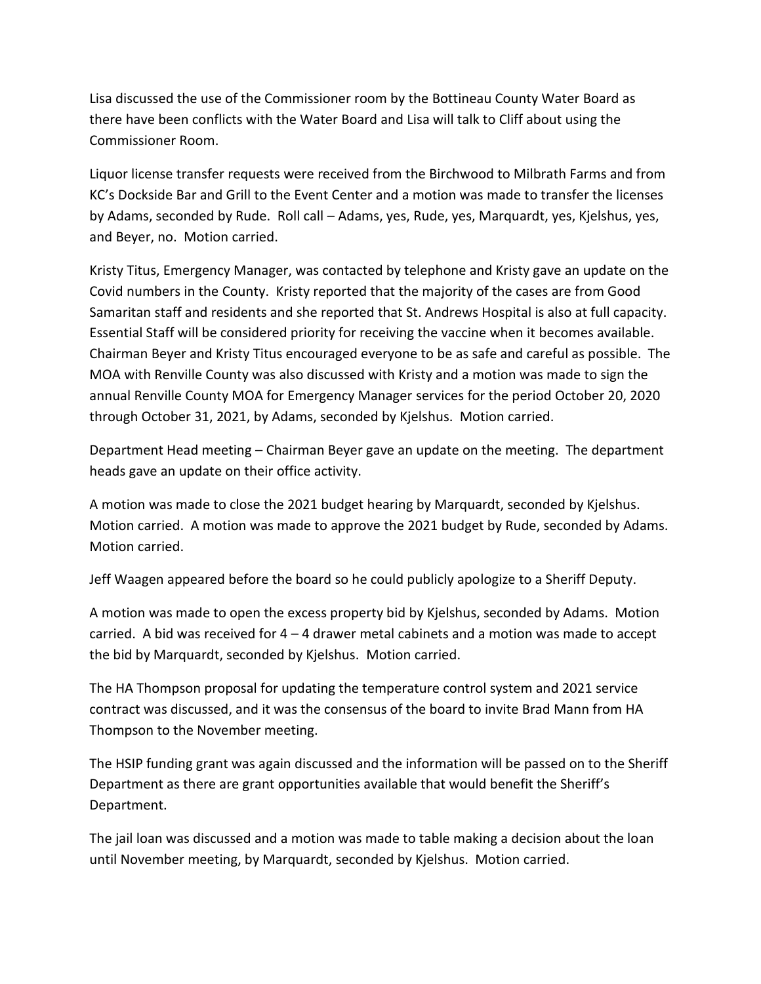Lisa discussed the use of the Commissioner room by the Bottineau County Water Board as there have been conflicts with the Water Board and Lisa will talk to Cliff about using the Commissioner Room.

Liquor license transfer requests were received from the Birchwood to Milbrath Farms and from KC's Dockside Bar and Grill to the Event Center and a motion was made to transfer the licenses by Adams, seconded by Rude. Roll call – Adams, yes, Rude, yes, Marquardt, yes, Kjelshus, yes, and Beyer, no. Motion carried.

Kristy Titus, Emergency Manager, was contacted by telephone and Kristy gave an update on the Covid numbers in the County. Kristy reported that the majority of the cases are from Good Samaritan staff and residents and she reported that St. Andrews Hospital is also at full capacity. Essential Staff will be considered priority for receiving the vaccine when it becomes available. Chairman Beyer and Kristy Titus encouraged everyone to be as safe and careful as possible. The MOA with Renville County was also discussed with Kristy and a motion was made to sign the annual Renville County MOA for Emergency Manager services for the period October 20, 2020 through October 31, 2021, by Adams, seconded by Kjelshus. Motion carried.

Department Head meeting – Chairman Beyer gave an update on the meeting. The department heads gave an update on their office activity.

A motion was made to close the 2021 budget hearing by Marquardt, seconded by Kjelshus. Motion carried. A motion was made to approve the 2021 budget by Rude, seconded by Adams. Motion carried.

Jeff Waagen appeared before the board so he could publicly apologize to a Sheriff Deputy.

A motion was made to open the excess property bid by Kjelshus, seconded by Adams. Motion carried. A bid was received for 4 – 4 drawer metal cabinets and a motion was made to accept the bid by Marquardt, seconded by Kjelshus. Motion carried.

The HA Thompson proposal for updating the temperature control system and 2021 service contract was discussed, and it was the consensus of the board to invite Brad Mann from HA Thompson to the November meeting.

The HSIP funding grant was again discussed and the information will be passed on to the Sheriff Department as there are grant opportunities available that would benefit the Sheriff's Department.

The jail loan was discussed and a motion was made to table making a decision about the loan until November meeting, by Marquardt, seconded by Kjelshus. Motion carried.